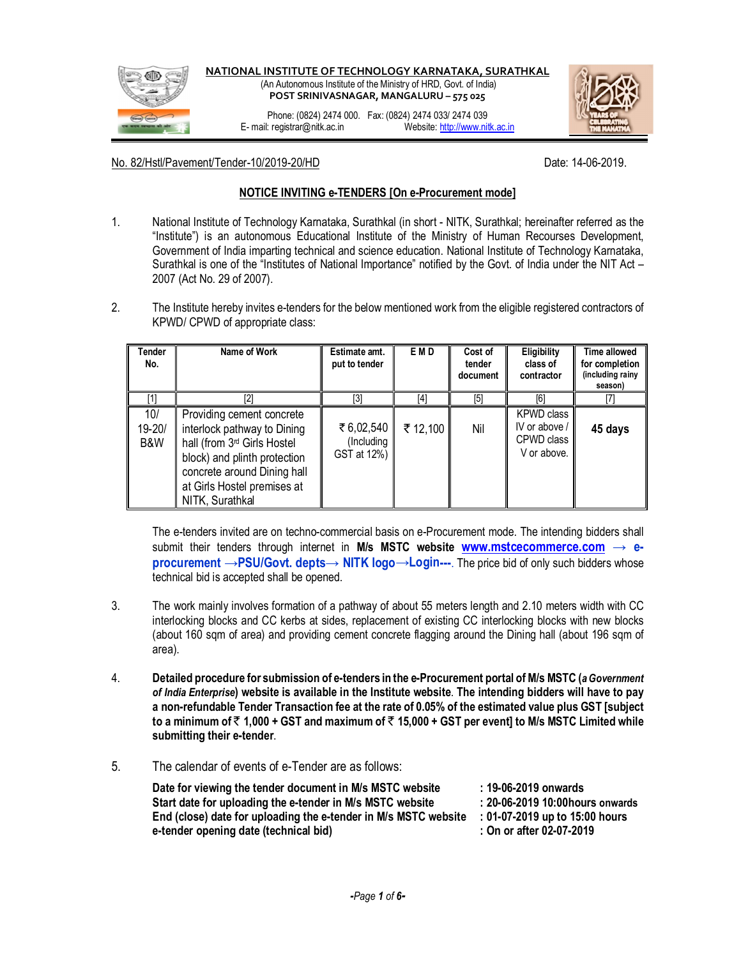

No. 82/Hstl/Pavement/Tender-10/2019-20/HD decades and the control of Date: 14-06-2019.

## **NOTICE INVITING e-TENDERS [On e-Procurement mode]**

- 1. National Institute of Technology Karnataka, Surathkal (in short NITK, Surathkal; hereinafter referred as the "Institute") is an autonomous Educational Institute of the Ministry of Human Recourses Development, Government of India imparting technical and science education. National Institute of Technology Karnataka, Surathkal is one of the "Institutes of National Importance" notified by the Govt. of India under the NIT Act – 2007 (Act No. 29 of 2007).
- 2. The Institute hereby invites e-tenders for the below mentioned work from the eligible registered contractors of KPWD/ CPWD of appropriate class:

| <b>Tender</b><br>No. | Name of Work                                                                                                                                                                                                         | Estimate amt.<br>put to tender          | E M D    | Cost of<br>tender<br>document | Eligibility<br>class of<br>contractor                           | <b>Time allowed</b><br>for completion<br>(including rainy<br>season) |
|----------------------|----------------------------------------------------------------------------------------------------------------------------------------------------------------------------------------------------------------------|-----------------------------------------|----------|-------------------------------|-----------------------------------------------------------------|----------------------------------------------------------------------|
|                      |                                                                                                                                                                                                                      |                                         | [4]      | [5]                           | F61                                                             |                                                                      |
| 10/<br>19-20/<br>B&W | Providing cement concrete<br>interlock pathway to Dining<br>hall (from 3 <sup>rd</sup> Girls Hostel<br>block) and plinth protection<br>concrete around Dining hall<br>at Girls Hostel premises at<br>NITK, Surathkal | ₹ 6,02,540<br>(Including<br>GST at 12%) | ₹ 12,100 | Nil                           | <b>KPWD class</b><br>IV or above /<br>CPWD class<br>V or above. | 45 days                                                              |

The e-tenders invited are on techno-commercial basis on e-Procurement mode. The intending bidders shall submit their tenders through internet in **M/s MSTC website www.mstcecommerce.com → eprocurement →PSU/Govt. depts→ NITK logo→Login---**. The price bid of only such bidders whose technical bid is accepted shall be opened.

- 3. The work mainly involves formation of a pathway of about 55 meters length and 2.10 meters width with CC interlocking blocks and CC kerbs at sides, replacement of existing CC interlocking blocks with new blocks (about 160 sqm of area) and providing cement concrete flagging around the Dining hall (about 196 sqm of area).
- 4. **Detailed procedure for submission of e-tenders in the e-Procurement portal of M/s MSTC (***a Government of India Enterprise***) website is available in the Institute website**. **The intending bidders will have to pay a non-refundable Tender Transaction fee at the rate of 0.05% of the estimated value plus GST [subject to a minimum of** ` **1,000 + GST and maximum of** ` **15,000 + GST per event] to M/s MSTC Limited while submitting their e-tender**.
- 5. The calendar of events of e-Tender are as follows:

| Date for viewing the tender document in M/s MSTC website        | : 19-06-2019 onwards             |
|-----------------------------------------------------------------|----------------------------------|
| Start date for uploading the e-tender in M/s MSTC website       | : 20-06-2019 10:00 hours onwards |
| End (close) date for uploading the e-tender in M/s MSTC website | : 01-07-2019 up to 15:00 hours   |
| e-tender opening date (technical bid)                           | : On or after 02-07-2019         |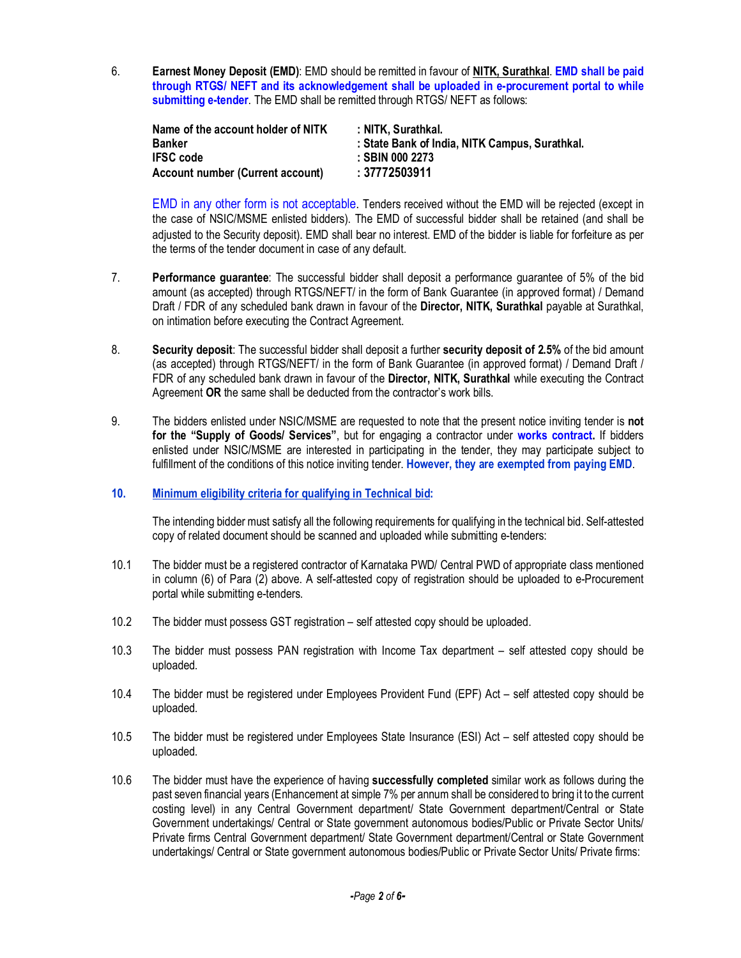6. **Earnest Money Deposit (EMD)**: EMD should be remitted in favour of **NITK, Surathkal**. **EMD shall be paid through RTGS/ NEFT and its acknowledgement shall be uploaded in e-procurement portal to while submitting e-tender**. The EMD shall be remitted through RTGS/ NEFT as follows:

| Name of the account holder of NITK      | :NITK. Surathkal.                              |
|-----------------------------------------|------------------------------------------------|
| <b>Banker</b>                           | : State Bank of India, NITK Campus, Surathkal. |
| <b>IFSC</b> code                        | : SBIN 000 2273                                |
| <b>Account number (Current account)</b> | :37772503911                                   |

EMD in any other form is not acceptable. Tenders received without the EMD will be rejected (except in the case of NSIC/MSME enlisted bidders). The EMD of successful bidder shall be retained (and shall be adjusted to the Security deposit). EMD shall bear no interest. EMD of the bidder is liable for forfeiture as per the terms of the tender document in case of any default.

- 7. **Performance guarantee**: The successful bidder shall deposit a performance guarantee of 5% of the bid amount (as accepted) through RTGS/NEFT/ in the form of Bank Guarantee (in approved format) / Demand Draft / FDR of any scheduled bank drawn in favour of the **Director, NITK, Surathkal** payable at Surathkal, on intimation before executing the Contract Agreement.
- 8. **Security deposit**: The successful bidder shall deposit a further **security deposit of 2.5%** of the bid amount (as accepted) through RTGS/NEFT/ in the form of Bank Guarantee (in approved format) / Demand Draft / FDR of any scheduled bank drawn in favour of the **Director, NITK, Surathkal** while executing the Contract Agreement **OR** the same shall be deducted from the contractor's work bills.
- 9. The bidders enlisted under NSIC/MSME are requested to note that the present notice inviting tender is **not for the "Supply of Goods/ Services"**, but for engaging a contractor under **works contract.** If bidders enlisted under NSIC/MSME are interested in participating in the tender, they may participate subject to fulfillment of the conditions of this notice inviting tender. **However, they are exempted from paying EMD**.

## **10. Minimum eligibility criteria for qualifying in Technical bid:**

The intending bidder must satisfy all the following requirements for qualifying in the technical bid. Self-attested copy of related document should be scanned and uploaded while submitting e-tenders:

- 10.1 The bidder must be a registered contractor of Karnataka PWD/ Central PWD of appropriate class mentioned in column (6) of Para (2) above. A self-attested copy of registration should be uploaded to e-Procurement portal while submitting e-tenders.
- 10.2 The bidder must possess GST registration self attested copy should be uploaded.
- 10.3 The bidder must possess PAN registration with Income Tax department self attested copy should be uploaded.
- 10.4 The bidder must be registered under Employees Provident Fund (EPF) Act self attested copy should be uploaded.
- 10.5 The bidder must be registered under Employees State Insurance (ESI) Act self attested copy should be uploaded.
- 10.6 The bidder must have the experience of having **successfully completed** similar work as follows during the past seven financial years (Enhancement at simple 7% per annum shall be considered to bring it to the current costing level) in any Central Government department/ State Government department/Central or State Government undertakings/ Central or State government autonomous bodies/Public or Private Sector Units/ Private firms Central Government department/ State Government department/Central or State Government undertakings/ Central or State government autonomous bodies/Public or Private Sector Units/ Private firms: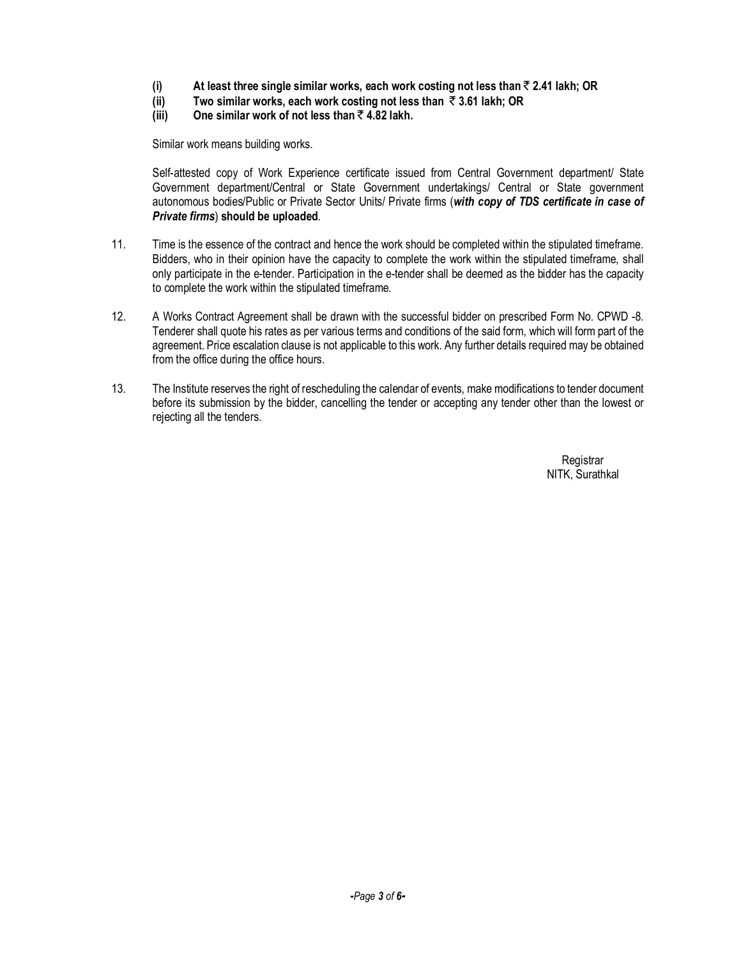- **(i) At least three single similar works, each work costing not less than** ` **2.41 lakh; OR**
- **(ii) Two similar works, each work costing not less than** ` **3.61 lakh; OR**
- **(iii) One similar work of not less than** ` **4.82 lakh.**

Similar work means building works.

Self-attested copy of Work Experience certificate issued from Central Government department/ State Government department/Central or State Government undertakings/ Central or State government autonomous bodies/Public or Private Sector Units/ Private firms (*with copy of TDS certificate in case of Private firms*) **should be uploaded**.

- 11. Time is the essence of the contract and hence the work should be completed within the stipulated timeframe. Bidders, who in their opinion have the capacity to complete the work within the stipulated timeframe, shall only participate in the e-tender. Participation in the e-tender shall be deemed as the bidder has the capacity to complete the work within the stipulated timeframe.
- 12. A Works Contract Agreement shall be drawn with the successful bidder on prescribed Form No. CPWD -8. Tenderer shall quote his rates as per various terms and conditions of the said form, which will form part of the agreement. Price escalation clause is not applicable to this work. Any further details required may be obtained from the office during the office hours.
- 13. The Institute reserves the right of rescheduling the calendar of events, make modifications to tender document before its submission by the bidder, cancelling the tender or accepting any tender other than the lowest or rejecting all the tenders.

**Registrar** NITK, Surathkal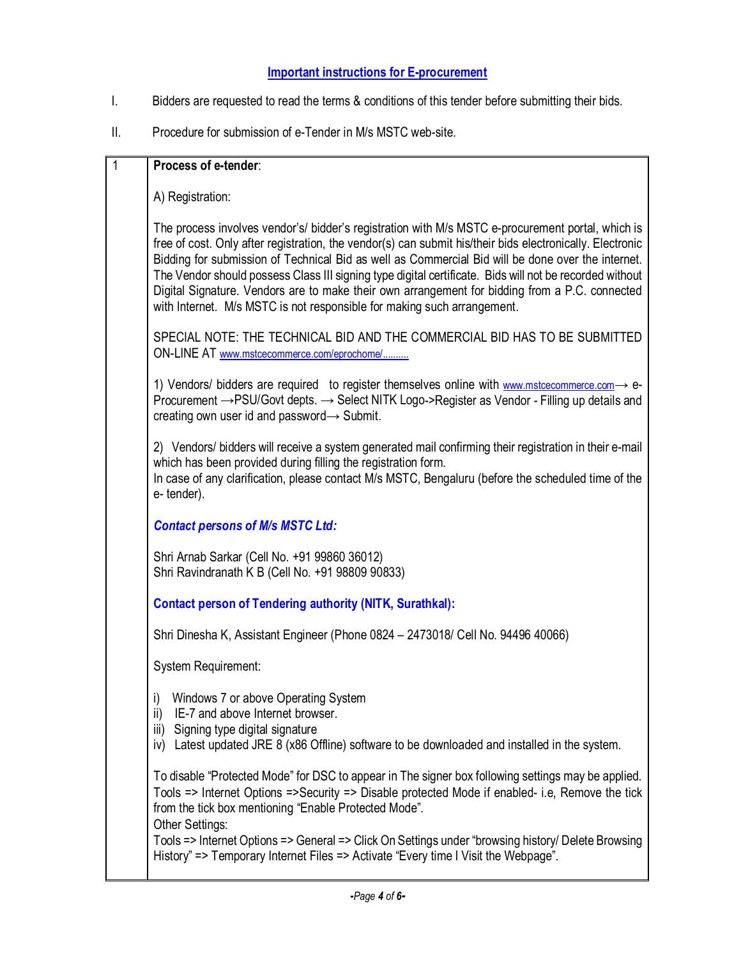## **Important instructions for E-procurement**

- I. Bidders are requested to read the terms & conditions of this tender before submitting their bids.
- II. Procedure for submission of e-Tender in M/s MSTC web-site.

|  | Process of e-tender:                                                                                                                                                                                                                                                                                                                                                                                                                                                                                                                                                                                        |
|--|-------------------------------------------------------------------------------------------------------------------------------------------------------------------------------------------------------------------------------------------------------------------------------------------------------------------------------------------------------------------------------------------------------------------------------------------------------------------------------------------------------------------------------------------------------------------------------------------------------------|
|  | A) Registration:                                                                                                                                                                                                                                                                                                                                                                                                                                                                                                                                                                                            |
|  | The process involves vendor's/ bidder's registration with M/s MSTC e-procurement portal, which is<br>free of cost. Only after registration, the vendor(s) can submit his/their bids electronically. Electronic<br>Bidding for submission of Technical Bid as well as Commercial Bid will be done over the internet.<br>The Vendor should possess Class III signing type digital certificate. Bids will not be recorded without<br>Digital Signature. Vendors are to make their own arrangement for bidding from a P.C. connected<br>with Internet. M/s MSTC is not responsible for making such arrangement. |
|  | SPECIAL NOTE: THE TECHNICAL BID AND THE COMMERCIAL BID HAS TO BE SUBMITTED<br>ON-LINE AT www.mstcecommerce.com/eprochome/                                                                                                                                                                                                                                                                                                                                                                                                                                                                                   |
|  | 1) Vendors/ bidders are required to register themselves online with www.mstcecommerce.com $\rightarrow$ e-<br>Procurement → PSU/Govt depts. → Select NITK Logo->Register as Vendor - Filling up details and<br>creating own user id and password -> Submit.                                                                                                                                                                                                                                                                                                                                                 |
|  | 2) Vendors/ bidders will receive a system generated mail confirming their registration in their e-mail<br>which has been provided during filling the registration form.<br>In case of any clarification, please contact M/s MSTC, Bengaluru (before the scheduled time of the<br>e-tender).                                                                                                                                                                                                                                                                                                                 |
|  | <b>Contact persons of M/s MSTC Ltd:</b>                                                                                                                                                                                                                                                                                                                                                                                                                                                                                                                                                                     |
|  | Shri Arnab Sarkar (Cell No. +91 99860 36012)<br>Shri Ravindranath K B (Cell No. +91 98809 90833)                                                                                                                                                                                                                                                                                                                                                                                                                                                                                                            |
|  | <b>Contact person of Tendering authority (NITK, Surathkal):</b>                                                                                                                                                                                                                                                                                                                                                                                                                                                                                                                                             |
|  | Shri Dinesha K, Assistant Engineer (Phone 0824 - 2473018/ Cell No. 94496 40066)                                                                                                                                                                                                                                                                                                                                                                                                                                                                                                                             |
|  | <b>System Requirement:</b>                                                                                                                                                                                                                                                                                                                                                                                                                                                                                                                                                                                  |
|  | i) Windows 7 or above Operating System<br>IE-7 and above Internet browser.<br>ii)<br>Signing type digital signature<br>iii)<br>Latest updated JRE 8 (x86 Offline) software to be downloaded and installed in the system.<br>iv)                                                                                                                                                                                                                                                                                                                                                                             |
|  | To disable "Protected Mode" for DSC to appear in The signer box following settings may be applied.<br>Tools => Internet Options =>Security => Disable protected Mode if enabled- i.e, Remove the tick<br>from the tick box mentioning "Enable Protected Mode".<br>Other Settings:                                                                                                                                                                                                                                                                                                                           |
|  | Tools => Internet Options => General => Click On Settings under "browsing history/ Delete Browsing<br>History" => Temporary Internet Files => Activate "Every time I Visit the Webpage".                                                                                                                                                                                                                                                                                                                                                                                                                    |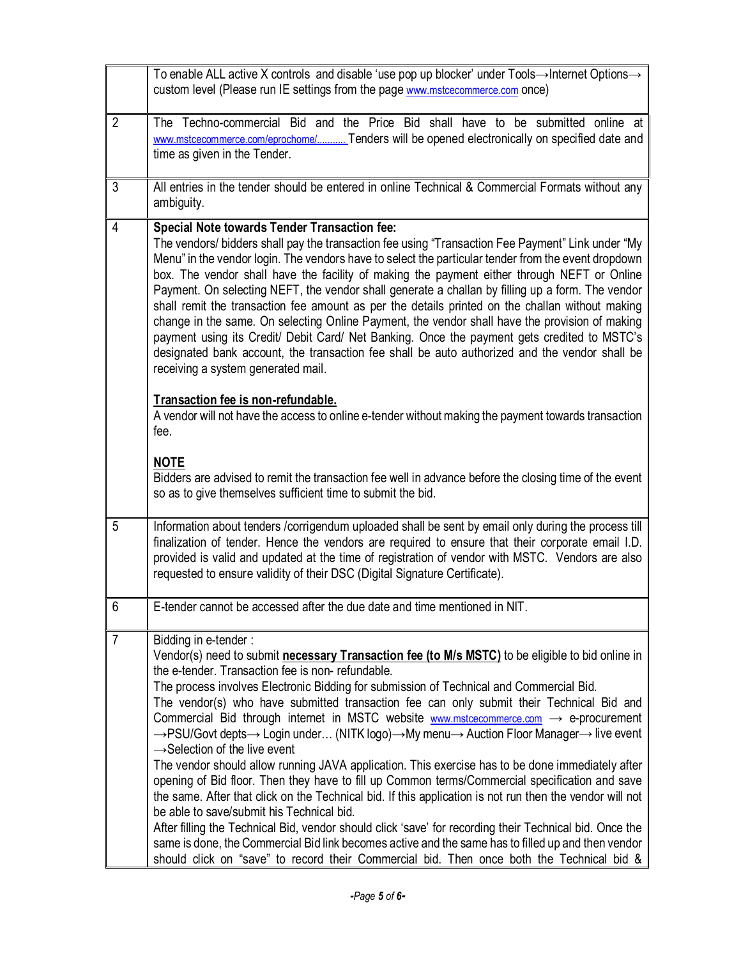|                | To enable ALL active X controls and disable 'use pop up blocker' under Tools→Internet Options→<br>custom level (Please run IE settings from the page www.mstcecommerce.com once)                                                                                                                                                                                                                                                                                                                                                                                                                                                                                                                                                                                                                                                                                                                                                                                                                                                                                                                                                                                                                                                                                                          |
|----------------|-------------------------------------------------------------------------------------------------------------------------------------------------------------------------------------------------------------------------------------------------------------------------------------------------------------------------------------------------------------------------------------------------------------------------------------------------------------------------------------------------------------------------------------------------------------------------------------------------------------------------------------------------------------------------------------------------------------------------------------------------------------------------------------------------------------------------------------------------------------------------------------------------------------------------------------------------------------------------------------------------------------------------------------------------------------------------------------------------------------------------------------------------------------------------------------------------------------------------------------------------------------------------------------------|
| $\overline{2}$ | The Techno-commercial Bid and the Price Bid shall have to be submitted online at<br>www.mstcecommerce.com/eprochome/ Tenders will be opened electronically on specified date and<br>time as given in the Tender.                                                                                                                                                                                                                                                                                                                                                                                                                                                                                                                                                                                                                                                                                                                                                                                                                                                                                                                                                                                                                                                                          |
| 3              | All entries in the tender should be entered in online Technical & Commercial Formats without any<br>ambiguity.                                                                                                                                                                                                                                                                                                                                                                                                                                                                                                                                                                                                                                                                                                                                                                                                                                                                                                                                                                                                                                                                                                                                                                            |
| 4              | <b>Special Note towards Tender Transaction fee:</b><br>The vendors/ bidders shall pay the transaction fee using "Transaction Fee Payment" Link under "My<br>Menu" in the vendor login. The vendors have to select the particular tender from the event dropdown<br>box. The vendor shall have the facility of making the payment either through NEFT or Online<br>Payment. On selecting NEFT, the vendor shall generate a challan by filling up a form. The vendor<br>shall remit the transaction fee amount as per the details printed on the challan without making<br>change in the same. On selecting Online Payment, the vendor shall have the provision of making<br>payment using its Credit/ Debit Card/ Net Banking. Once the payment gets credited to MSTC's<br>designated bank account, the transaction fee shall be auto authorized and the vendor shall be<br>receiving a system generated mail.                                                                                                                                                                                                                                                                                                                                                                             |
|                | Transaction fee is non-refundable.<br>A vendor will not have the access to online e-tender without making the payment towards transaction<br>fee.<br><b>NOTE</b>                                                                                                                                                                                                                                                                                                                                                                                                                                                                                                                                                                                                                                                                                                                                                                                                                                                                                                                                                                                                                                                                                                                          |
|                | Bidders are advised to remit the transaction fee well in advance before the closing time of the event<br>so as to give themselves sufficient time to submit the bid.                                                                                                                                                                                                                                                                                                                                                                                                                                                                                                                                                                                                                                                                                                                                                                                                                                                                                                                                                                                                                                                                                                                      |
| 5              | Information about tenders / corrigendum uploaded shall be sent by email only during the process till<br>finalization of tender. Hence the vendors are required to ensure that their corporate email I.D.<br>provided is valid and updated at the time of registration of vendor with MSTC. Vendors are also<br>requested to ensure validity of their DSC (Digital Signature Certificate).                                                                                                                                                                                                                                                                                                                                                                                                                                                                                                                                                                                                                                                                                                                                                                                                                                                                                                 |
| 6              | E-tender cannot be accessed after the due date and time mentioned in NIT.                                                                                                                                                                                                                                                                                                                                                                                                                                                                                                                                                                                                                                                                                                                                                                                                                                                                                                                                                                                                                                                                                                                                                                                                                 |
| $\overline{7}$ | Bidding in e-tender:<br>Vendor(s) need to submit necessary Transaction fee (to M/s MSTC) to be eligible to bid online in<br>the e-tender. Transaction fee is non-refundable.<br>The process involves Electronic Bidding for submission of Technical and Commercial Bid.<br>The vendor(s) who have submitted transaction fee can only submit their Technical Bid and<br>Commercial Bid through internet in MSTC website www.mstcecommerce.com $\rightarrow$ e-procurement<br>→PSU/Govt depts→ Login under (NITK logo)→My menu→ Auction Floor Manager→ live event<br>$\rightarrow$ Selection of the live event<br>The vendor should allow running JAVA application. This exercise has to be done immediately after<br>opening of Bid floor. Then they have to fill up Common terms/Commercial specification and save<br>the same. After that click on the Technical bid. If this application is not run then the vendor will not<br>be able to save/submit his Technical bid.<br>After filling the Technical Bid, vendor should click 'save' for recording their Technical bid. Once the<br>same is done, the Commercial Bid link becomes active and the same has to filled up and then vendor<br>should click on "save" to record their Commercial bid. Then once both the Technical bid & |